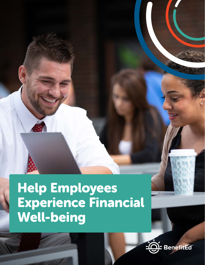# Help Employees Experience Financial Well-being

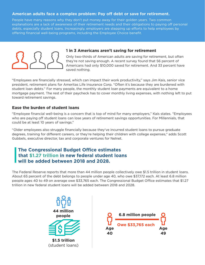# **American adults face a complex problem: Pay off debt or save for retirement.**

People have many reasons why they don't put money away for their golden years. Two common explanations are a lack of awareness of their retirement needs and their obligations to paying off personal debts, especially student loans. Increasingly, employers are stepping up efforts to help employees by offering financial well-being programs, including the Employee Choice benefit.



# **1 in 3 Americans aren't saving for retirement**

Only two-thirds of American adults are saving for retirement, but often they're not saving enough. A recent survey found that 56 percent of Americans had only \$10,000 saved for retirement. And 33 percent have saved nothing.

"Employees are financially stressed, which can impact their work productivity," says Jim Kais, senior vice president, retirement plans for Ameritas Life Insurance Corp. "Often it's because they are burdened with student loan debts." For many people, the monthly student loan payments are equivalent to a home mortgage payment. The rest of their paycheck has to cover monthly living expenses, with nothing left to put toward retirement savings.

## **Ease the burden of student loans**

"Employee financial well-being is a concern that is top of mind for many employers," Kais states. "Employees who are paying off student loans can lose years of retirement savings opportunities. For Millennials, that could be at least 10 years of savings."

"Older employees also struggle financially because they've incurred student loans to pursue graduate degrees, training for different careers, or they're helping their children with college expenses," adds Scott Gubbels, executive director, tax and corporate ventures for Nelnet.

# **The Congressional Budget Office estimates that \$1.27 trillion in new federal student loans will be added between 2018 and 2028.**

The Federal Reserve reports that more than 44 million people collectively owe \$1.5 trillion in student loans. About 65 percent of the debt belongs to people under age 40, who owe \$37,172 each. At least 6.8 million people ages 40 to 49 on average owe \$33,765 each. The Congressional Budget Office estimates that \$1.27 trillion in new federal student loans will be added between 2018 and 2028.



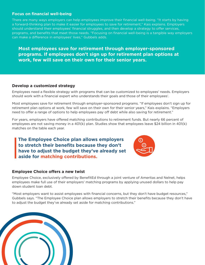### **Focus on financial well-being**

There are many ways employers can help employees improve their financial well-being. "It starts by having a forward-thinking plan to make it easier for employees to save for retirement," Kais explains. Employers should understand their employees' financial struggles, and then develop a strategy to offer services, programs, and benefits that meet those needs. "Focusing on financial well-being is a tangible way employers can make a difference in employees' lives," Gubbels adds.

**Most employees save for retirement through employer-sponsored programs. If employees don't sign up for retirement plan options at work, few will save on their own for their senior years.**

#### **Develop a customized strategy**

Employees need a flexible strategy with programs that can be customized to employees' needs. Employers should work with a financial expert who understands their goals and those of their employees'.

Most employees save for retirement through employer-sponsored programs. "If employees don't sign up for retirement plan options at work, few will save on their own for their senior years," Kais explains. "Employers need to offer a range of options to help employees pay off debt while also saving for retirement."

For years, employers have offered matching contributions to retirement funds. But nearly 66 percent of employees are not saving money in a 401(k) plan. Studies show that employees leave \$24 billion in 401(k) matches on the table each year.

**The Employee Choice plan allows employers to stretch their benefits because they don't have to adjust the budget they've already set aside for matching contributions.**



#### **Employee Choice offers a new twist**

Employee Choice, exclusively offered by BenefitEd through a joint venture of Ameritas and Nelnet, helps employees make full use of their employers' matching programs by applying unused dollars to help pay down student loan debt.

"Most employers want to assist employees with financial concerns, but they don't have budget resources," Gubbels says. "The Employee Choice plan allows employers to stretch their benefits because they don't have to adjust the budget they've already set aside for matching contributions."

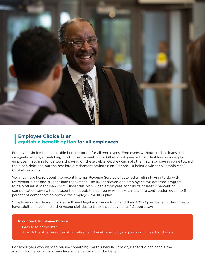

# **Employee Choice is an equitable benefit option for all employees.**

Employee Choice is an equitable benefit option for all employees. Employees without student loans can designate employer matching funds to retirement plans. Other employees with student loans can apply employer matching funds toward paying off these debts. Or, they can split the match by paying some toward their loan debt and put the rest into a retirement savings plan. "It ends up being a win for all employees," Gubbels explains.

You may have heard about the recent Internal Revenue Service private letter ruling having to do with retirement plans and student loan repayment. The IRS approved one employer's tax-deferred program to help offset student loan costs. Under this plan, when employees contribute at least 2 percent of compensation toward their student loan debt, the company will make a matching contribution equal to 5 percent of compensation toward the employee's 401(k) plan.

"Employers considering this idea will need legal assistance to amend their 401(k) plan benefits. And they will have additional administrative responsibilities to track these payments," Gubbels says.

#### **In contrast, Employee Choice**

- is easier to administer
- fits with the structure of existing retirement benefits; employers' plans don't need to change

For employers who want to pursue something like this new IRS option, BenefitEd can handle the administrative work for a seamless implementation of the benefit.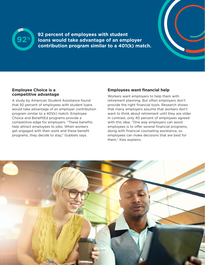

**92 percent of employees with student loans would take advantage of an employer contribution program similar to a 401(k) match.**

#### **Employee Choice is a competitive advantage**

A study by American Student Assistance found that 92 percent of employees with student loans would take advantage of an employer contribution program similar to a 401(k) match. Employee Choice and BenefitEd programs provide a competitive edge for employers. "These benefits help attract employees to jobs. When workers get engaged with their work and these benefit programs, they decide to stay," Gubbels says.

# **Employees want financial help**

Workers want employers to help them with retirement planning. But often employers don't provide the right financial tools. Research shows that many employers assume that workers don't want to think about retirement until they are older. In contrast, only 40 percent of employees agreed with this idea. "One way employers can assist employees is to offer several financial programs, along with financial counseling assistance, so employees can make decisions that are best for them," Kais explains.